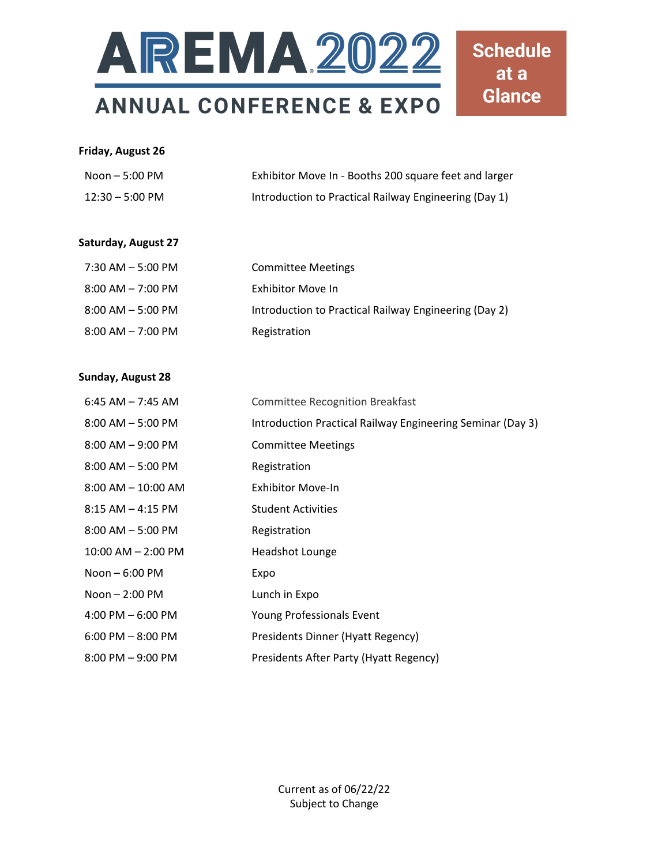

#### **Friday, August 26**

| Noon – 5:00 PM            | Exhibitor Move In - Booths 200 square feet and larger |
|---------------------------|-------------------------------------------------------|
| $12:30 - 5:00 \text{ PM}$ | Introduction to Practical Railway Engineering (Day 1) |

### **Saturday, August 27**

| 7:30 AM - 5:00 PM     | <b>Committee Meetings</b>                             |
|-----------------------|-------------------------------------------------------|
| $8:00$ AM $-7:00$ PM  | Exhibitor Move In                                     |
| $8:00$ AM $-$ 5:00 PM | Introduction to Practical Railway Engineering (Day 2) |
| $8:00$ AM $-7:00$ PM  | Registration                                          |

#### **Sunday, August 28**

| $6:45$ AM $-$ 7:45 AM  | <b>Committee Recognition Breakfast</b>                     |
|------------------------|------------------------------------------------------------|
| $8:00$ AM $-5:00$ PM   | Introduction Practical Railway Engineering Seminar (Day 3) |
| $8:00$ AM $-9:00$ PM   | <b>Committee Meetings</b>                                  |
| $8:00$ AM $-5:00$ PM   | Registration                                               |
| $8:00$ AM $- 10:00$ AM | Exhibitor Move-In                                          |
| $8:15$ AM $-$ 4:15 PM  | <b>Student Activities</b>                                  |
| $8:00$ AM $-5:00$ PM   | Registration                                               |
| $10:00$ AM $- 2:00$ PM | Headshot Lounge                                            |
| Noon $-6:00$ PM        | Expo                                                       |
| Noon $-2:00$ PM        | Lunch in Expo                                              |
| $4:00$ PM $-6:00$ PM   | Young Professionals Event                                  |
| $6:00$ PM $-8:00$ PM   | Presidents Dinner (Hyatt Regency)                          |
| $8:00$ PM $-9:00$ PM   | Presidents After Party (Hyatt Regency)                     |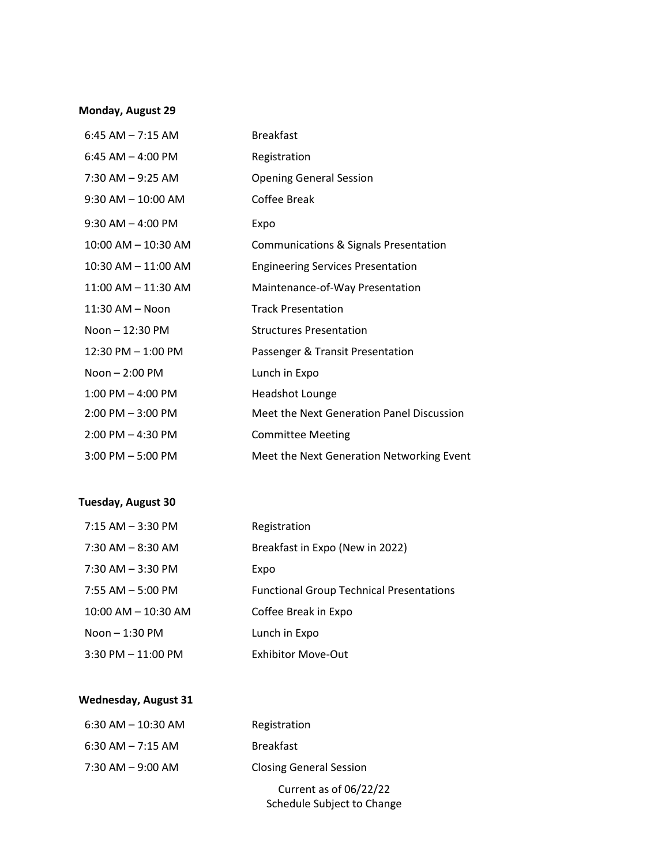## **Monday, August 29**

| $6:45$ AM $- 7:15$ AM  | <b>Breakfast</b>                          |
|------------------------|-------------------------------------------|
| 6:45 AM $-$ 4:00 PM    | Registration                              |
| $7:30$ AM $-9:25$ AM   | <b>Opening General Session</b>            |
| $9:30$ AM $- 10:00$ AM | Coffee Break                              |
| $9:30$ AM $-$ 4:00 PM  | Expo                                      |
| 10:00 AM - 10:30 AM    | Communications & Signals Presentation     |
| 10:30 AM - 11:00 AM    | <b>Engineering Services Presentation</b>  |
| 11:00 AM - 11:30 AM    | Maintenance-of-Way Presentation           |
| 11:30 AM - Noon        | <b>Track Presentation</b>                 |
| Noon - 12:30 PM        | <b>Structures Presentation</b>            |
| 12:30 PM - 1:00 PM     | Passenger & Transit Presentation          |
| $N$ oon $-2:00$ PM     | Lunch in Expo                             |
| $1:00$ PM $-$ 4:00 PM  | <b>Headshot Lounge</b>                    |
| $2:00$ PM $-3:00$ PM   | Meet the Next Generation Panel Discussion |
| $2:00$ PM $-$ 4:30 PM  | <b>Committee Meeting</b>                  |
| $3:00$ PM $-5:00$ PM   | Meet the Next Generation Networking Event |

# **Tuesday, August 30**

| $7:15$ AM $-$ 3:30 PM   | Registration                                    |
|-------------------------|-------------------------------------------------|
| $7:30$ AM $-$ 8:30 AM   | Breakfast in Expo (New in 2022)                 |
| $7:30$ AM $-3:30$ PM    | Expo                                            |
| $7:55$ AM $-5:00$ PM    | <b>Functional Group Technical Presentations</b> |
| $10:00$ AM $- 10:30$ AM | Coffee Break in Expo                            |
| Noon $-1:30$ PM         | Lunch in Expo                                   |
| $3:30$ PM $-11:00$ PM   | <b>Exhibitor Move-Out</b>                       |

## **Wednesday, August 31**

| Registration                                         |
|------------------------------------------------------|
| <b>Breakfast</b>                                     |
| <b>Closing General Session</b>                       |
| Current as of 06/22/22<br>Schedule Subject to Change |
|                                                      |